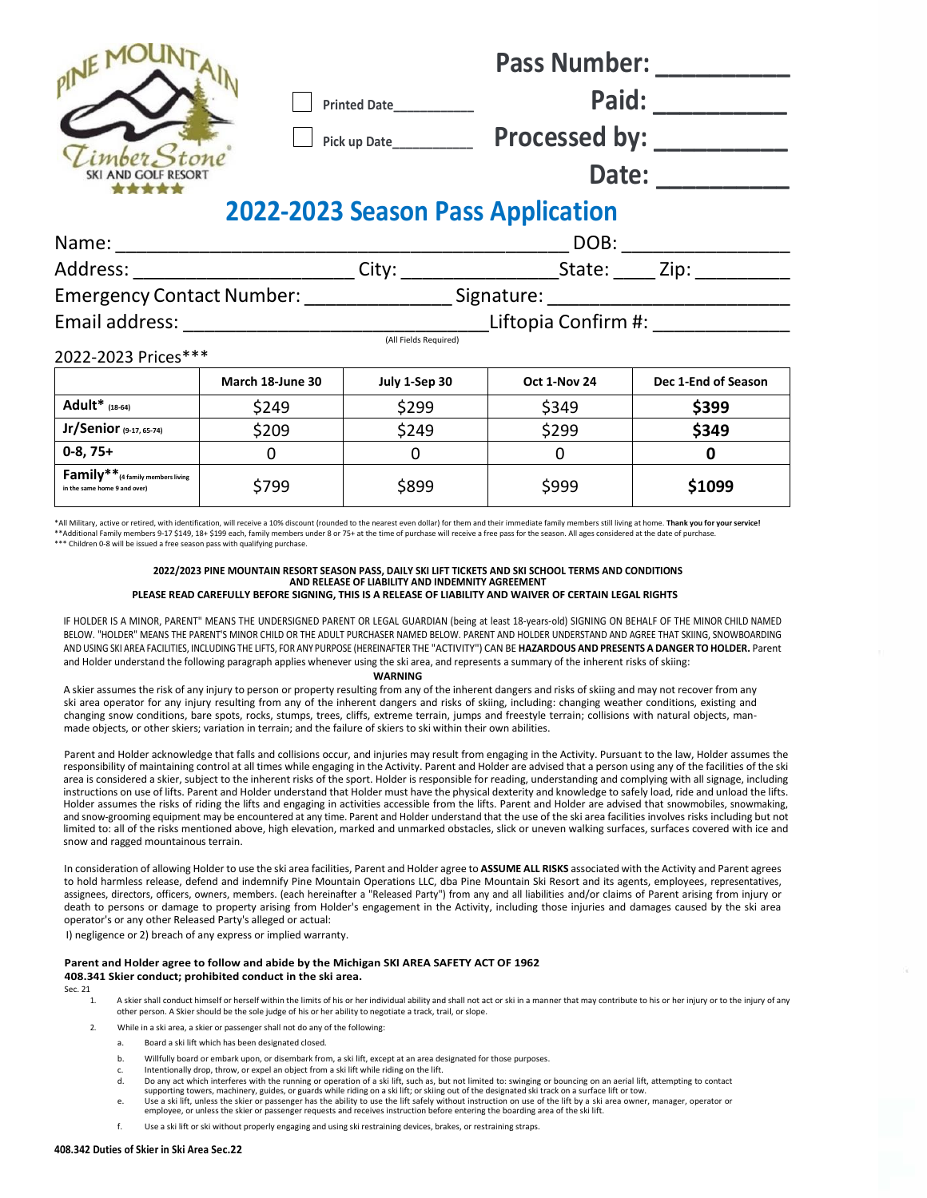| mber Stone<br>SKI AND GOLF RESORT                                                |                     | Printed Date<br>Pick up Date___________ | <b>Pass Number:</b><br>Paid:<br><b>Processed by:</b><br>Date: |                     |
|----------------------------------------------------------------------------------|---------------------|-----------------------------------------|---------------------------------------------------------------|---------------------|
| <b>2022-2023 Season Pass Application</b>                                         |                     |                                         |                                                               |                     |
|                                                                                  | DOB:                |                                         |                                                               |                     |
|                                                                                  |                     |                                         |                                                               |                     |
| Emergency Contact Number: ______________________Signature: _____________________ |                     |                                         |                                                               |                     |
|                                                                                  | Liftopia Confirm #: |                                         |                                                               |                     |
| (All Fields Required)<br>2022-2023 Prices***                                     |                     |                                         |                                                               |                     |
|                                                                                  | March 18-June 30    | July 1-Sep 30                           | Oct 1-Nov 24                                                  | Dec 1-End of Season |
| Adult <sup>*</sup> (18-64)                                                       | \$249               | \$299                                   | \$349                                                         | \$399               |
| Jr/Senior (9-17, 65-74)                                                          | \$209               | \$249                                   | \$299                                                         | \$349               |
| $0-8, 75+$                                                                       | $\Omega$            | $\mathbf 0$                             | $\Omega$                                                      | 0                   |
| $Family**_{(4 family members living)}$<br>in the same home 9 and over)           | \$799               | \$899                                   | \$999                                                         | \$1099              |

\*All Military, active or retired, with identification, will receive a 10% discount (rounded to the nearest even dollar) for them and their immediate family members still living at home. **Thank you for your service!** \*\*Additional Family members 9-17 \$149, 18+ \$199 each, family members under 8 or 75+ at the time of purchase will receive a free pass for the season. All ages considered at the date of purchase \*\*\* Children 0-8 will be issued a free season pass with qualifying purchase.

## **2022/2023 PINE MOUNTAIN RESORT SEASON PASS, DAILY SKI LIFT TICKETS AND SKI SCHOOL TERMS AND CONDITIONS AND RELEASE OF LIABILITY AND INDEMNITY AGREEMENT**

**PLEASE READ CAREFULLY BEFORE SIGNING, THIS IS A RELEASE OF LIABILITY AND WAIVER OF CERTAIN LEGAL RIGHTS**

IF HOLDER IS A MINOR, PARENT" MEANS THE UNDERSIGNED PARENT OR LEGAL GUARDIAN (being at least 18-years-old) SIGNING ON BEHALF OF THE MINOR CHILD NAMED BELOW. "HOLDER" MEANS THE PARENT'S MINOR CHILD OR THE ADULT PURCHASER NAMED BELOW. PARENT AND HOLDER UNDERSTAND AND AGREE THAT SKIING, SNOWBOARDING AND USING SKI AREA FACILITIES, INCLUDING THE LIFTS, FOR ANY PURPOSE (HEREINAFTER THE "ACTIVITY") CAN BE **HAZARDOUS AND PRESENTS A DANGER TO HOLDER.** Parent and Holder understand the following paragraph applies whenever using the ski area, and represents a summary of the inherent risks of skiing:

#### **WARNING**

A skier assumes the risk of any injury to person or property resulting from any of the inherent dangers and risks of skiing and may not recover from any ski area operator for any injury resulting from any of the inherent dangers and risks of skiing, including: changing weather conditions, existing and changing snow conditions, bare spots, rocks, stumps, trees, cliffs, extreme terrain, jumps and freestyle terrain; collisions with natural objects, manmade objects, or other skiers; variation in terrain; and the failure of skiers to ski within their own abilities.

Parent and Holder acknowledge that falls and collisions occur, and injuries may result from engaging in the Activity. Pursuant to the law, Holder assumes the responsibility of maintaining control at all times while engaging in the Activity. Parent and Holder are advised that a person using any of the facilities of the ski area is considered a skier, subject to the inherent risks of the sport. Holder is responsible for reading, understanding and complying with all signage, including instructions on use of lifts. Parent and Holder understand that Holder must have the physical dexterity and knowledge to safely load, ride and unload the lifts. Holder assumes the risks of riding the lifts and engaging in activities accessible from the lifts. Parent and Holder are advised that snowmobiles, snowmaking, and snow-grooming equipment may be encountered at any time. Parent and Holder understand that the use of the ski area facilities involves risks including but not limited to: all of the risks mentioned above, high elevation, marked and unmarked obstacles, slick or uneven walking surfaces, surfaces covered with ice and snow and ragged mountainous terrain.

In consideration of allowing Holder to use the ski area facilities, Parent and Holder agree to **ASSUME ALL RISKS** associated with the Activity and Parent agrees to hold harmless release, defend and indemnify Pine Mountain Operations LLC, dba Pine Mountain Ski Resort and its agents, employees, representatives, assignees, directors, officers, owners, members. (each hereinafter a "Released Party") from any and all liabilities and/or claims of Parent arising from injury or death to persons or damage to property arising from Holder's engagement in the Activity, including those injuries and damages caused by the ski area operator's or any other Released Party's alleged or actual:

I) negligence or 2) breach of any express or implied warranty.

## **Parent and Holder agree to follow and abide by the Michigan SKI AREA SAFETY ACT OF 1962**

#### **408.341 Skier conduct; prohibited conduct in the ski area.**

Sec. 21

- 1. A skier shall conduct himself or herself within the limits of his or her individual ability and shall not act or ski in a manner that may contribute to his or her injury or to the injury of any other person. A Skier should be the sole judge of his or her ability to negotiate a track, trail, or slope.
- 2. While in a ski area, a skier or passenger shall not do any of the following:
	- a. Board a ski lift which has been designated closed.
	- b. Willfully board or embark upon, or disembark from, a ski lift, except at an area designated for those purposes.
	- c. Intentionally drop, throw, or expel an object from a ski lift while riding on the lift.<br>  $\overrightarrow{a}$  Do any act which interferes with the running or operation of a ski lift such as by
	- Do any act which interferes with the running or operation of a ski lift, such as, but not limited to: swinging or bouncing on an aerial lift, attempting to contact supporting towers, machinery, guides, or guards while riding on a ski lift; or skiing out of the designated ski track on a surface lift or tow.
	- e. Use a ski lift, unless the skier or passenger has the ability to use the lift safely without instruction on use of the lift by a ski area owner, manager, operator or employee, or unless the skier or passenger requests and receives instruction before entering the boarding area of the ski lift.
	- f. Use a ski lift or ski without properly engaging and using ski restraining devices, brakes, or restraining straps.